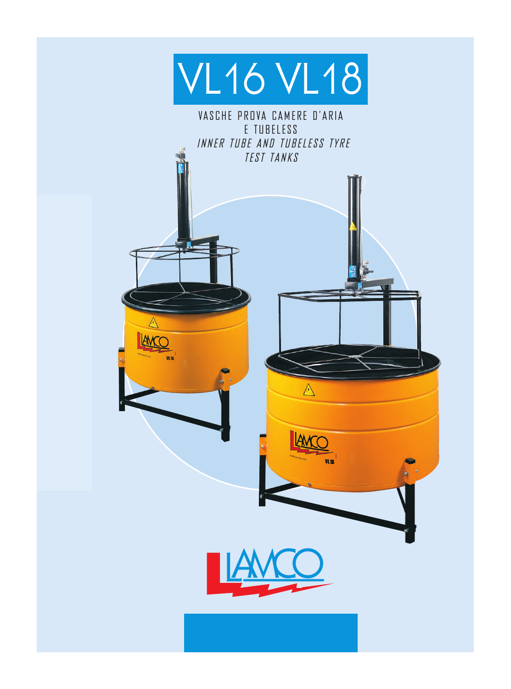